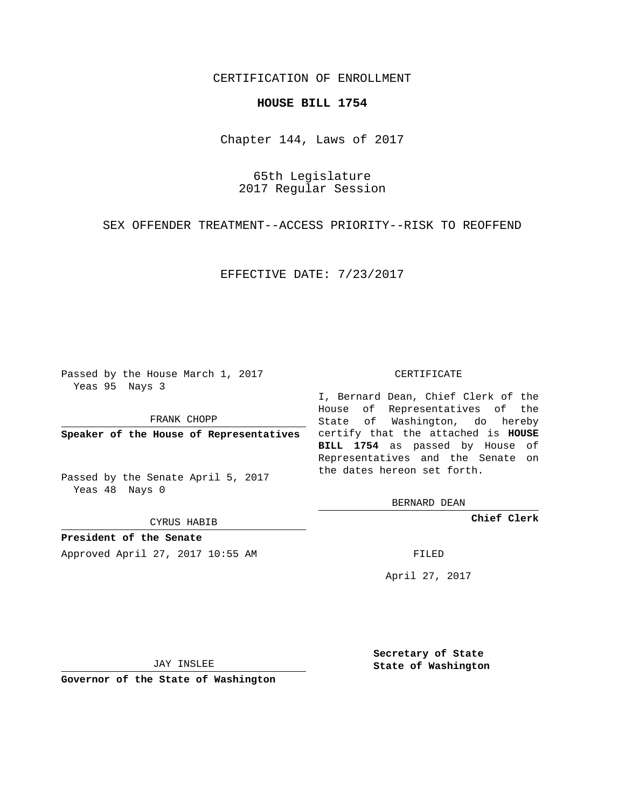## CERTIFICATION OF ENROLLMENT

## **HOUSE BILL 1754**

Chapter 144, Laws of 2017

65th Legislature 2017 Regular Session

SEX OFFENDER TREATMENT--ACCESS PRIORITY--RISK TO REOFFEND

EFFECTIVE DATE: 7/23/2017

Passed by the House March 1, 2017 Yeas 95 Nays 3

FRANK CHOPP

Passed by the Senate April 5, 2017 Yeas 48 Nays 0

CYRUS HABIB

**President of the Senate**

Approved April 27, 2017 10:55 AM FILED

## CERTIFICATE

**Speaker of the House of Representatives** certify that the attached is **HOUSE** I, Bernard Dean, Chief Clerk of the House of Representatives of the State of Washington, do hereby **BILL 1754** as passed by House of Representatives and the Senate on the dates hereon set forth.

BERNARD DEAN

**Chief Clerk**

April 27, 2017

JAY INSLEE

**Governor of the State of Washington**

**Secretary of State State of Washington**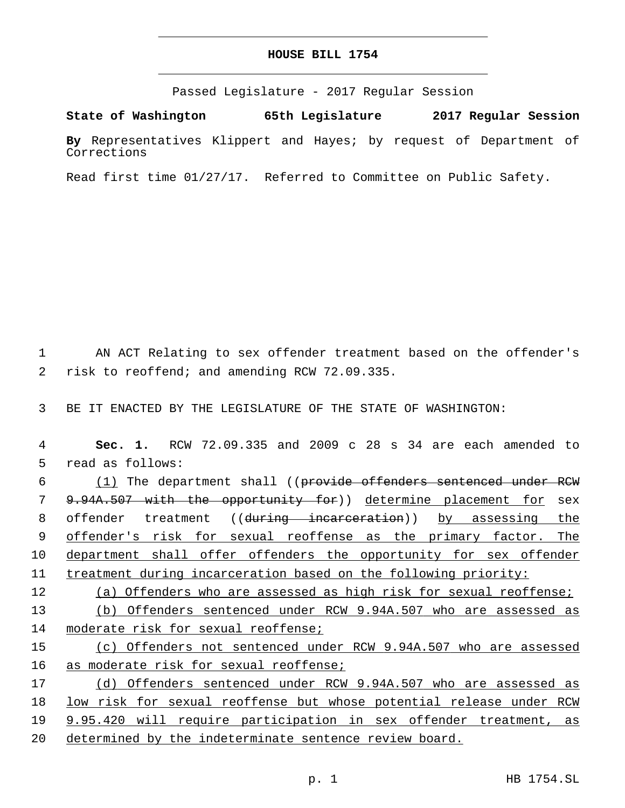## **HOUSE BILL 1754**

Passed Legislature - 2017 Regular Session

**State of Washington 65th Legislature 2017 Regular Session**

**By** Representatives Klippert and Hayes; by request of Department of Corrections

Read first time 01/27/17. Referred to Committee on Public Safety.

1 AN ACT Relating to sex offender treatment based on the offender's 2 risk to reoffend; and amending RCW 72.09.335.

3 BE IT ENACTED BY THE LEGISLATURE OF THE STATE OF WASHINGTON:

4 **Sec. 1.** RCW 72.09.335 and 2009 c 28 s 34 are each amended to 5 read as follows:

6 (1) The department shall ((provide offenders sentenced under RCW 7 9.94A.507 with the opportunity for)) determine placement for sex 8 offender treatment ((during incarceration)) by assessing the 9 offender's risk for sexual reoffense as the primary factor. The 10 department shall offer offenders the opportunity for sex offender 11 treatment during incarceration based on the following priority:

12 (a) Offenders who are assessed as high risk for sexual reoffense;

13 (b) Offenders sentenced under RCW 9.94A.507 who are assessed as 14 moderate risk for sexual reoffense;

15 (c) Offenders not sentenced under RCW 9.94A.507 who are assessed 16 as moderate risk for sexual reoffense;

 (d) Offenders sentenced under RCW 9.94A.507 who are assessed as low risk for sexual reoffense but whose potential release under RCW 9.95.420 will require participation in sex offender treatment, as 20 determined by the indeterminate sentence review board.